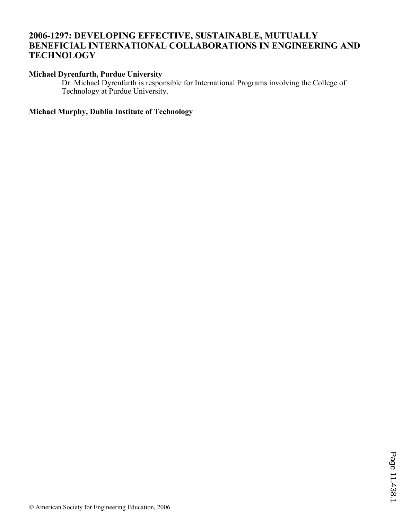## **2006-1297: DEVELOPING EFFECTIVE, SUSTAINABLE, MUTUALLY BENEFICIAL INTERNATIONAL COLLABORATIONS IN ENGINEERING AND TECHNOLOGY**

## **Michael Dyrenfurth, Purdue University**

Dr. Michael Dyrenfurth is responsible for International Programs involving the College of Technology at Purdue University.

## **Michael Murphy, Dublin Institute of Technology**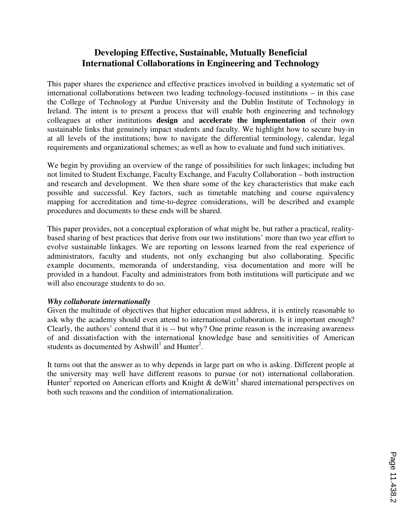# **Developing Effective, Sustainable, Mutually Beneficial International Collaborations in Engineering and Technology**

This paper shares the experience and effective practices involved in building a systematic set of international collaborations between two leading technology-focused institutions – in this case the College of Technology at Purdue University and the Dublin Institute of Technology in Ireland. The intent is to present a process that will enable both engineering and technology colleagues at other institutions **design** and **accelerate the implementation** of their own sustainable links that genuinely impact students and faculty. We highlight how to secure buy-in at all levels of the institutions; how to navigate the differential terminology, calendar, legal requirements and organizational schemes; as well as how to evaluate and fund such initiatives.

We begin by providing an overview of the range of possibilities for such linkages; including but not limited to Student Exchange, Faculty Exchange, and Faculty Collaboration – both instruction and research and development. We then share some of the key characteristics that make each possible and successful. Key factors, such as timetable matching and course equivalency mapping for accreditation and time-to-degree considerations, will be described and example procedures and documents to these ends will be shared.

This paper provides, not a conceptual exploration of what might be, but rather a practical, realitybased sharing of best practices that derive from our two institutions' more than two year effort to evolve sustainable linkages. We are reporting on lessons learned from the real experience of administrators, faculty and students, not only exchanging but also collaborating. Specific example documents, memoranda of understanding, visa documentation and more will be provided in a handout. Faculty and administrators from both institutions will participate and we will also encourage students to do so.

#### *Why collaborate internationally*

Given the multitude of objectives that higher education must address, it is entirely reasonable to ask why the academy should even attend to international collaboration. Is it important enough? Clearly, the authors' contend that it is -- but why? One prime reason is the increasing awareness of and dissatisfaction with the international knowledge base and sensitivities of American students as documented by Ashwill<sup>1</sup> and Hunter<sup>2</sup>.

It turns out that the answer as to why depends in large part on who is asking. Different people at the university may well have different reasons to pursue (or not) international collaboration. Hunter<sup>2</sup> reported on American efforts and Knight  $\&$  deWitt<sup>3</sup> shared international perspectives on both such reasons and the condition of internationalization.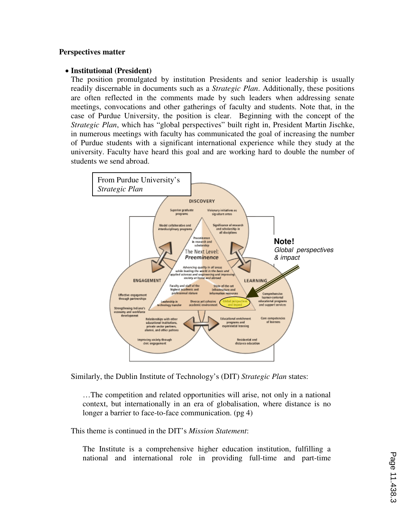#### **Perspectives matter**

#### • **Institutional (President)**

The position promulgated by institution Presidents and senior leadership is usually readily discernable in documents such as a *Strategic Plan*. Additionally, these positions are often reflected in the comments made by such leaders when addressing senate meetings, convocations and other gatherings of faculty and students. Note that, in the case of Purdue University, the position is clear. Beginning with the concept of the *Strategic Plan*, which has "global perspectives" built right in, President Martin Jischke, in numerous meetings with faculty has communicated the goal of increasing the number of Purdue students with a significant international experience while they study at the university. Faculty have heard this goal and are working hard to double the number of students we send abroad.



Similarly, the Dublin Institute of Technology's (DIT) *Strategic Plan* states:

…The competition and related opportunities will arise, not only in a national context, but internationally in an era of globalisation, where distance is no longer a barrier to face-to-face communication. (pg 4)

This theme is continued in the DIT's *Mission Statement*:

The Institute is a comprehensive higher education institution, fulfilling a national and international role in providing full-time and part-time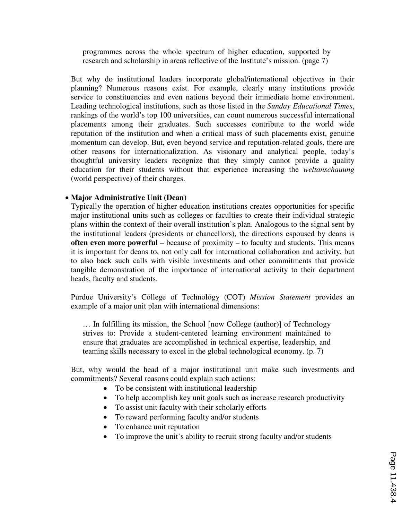programmes across the whole spectrum of higher education, supported by research and scholarship in areas reflective of the Institute's mission. (page 7)

But why do institutional leaders incorporate global/international objectives in their planning? Numerous reasons exist. For example, clearly many institutions provide service to constituencies and even nations beyond their immediate home environment. Leading technological institutions, such as those listed in the *Sunday Educational Times*, rankings of the world's top 100 universities, can count numerous successful international placements among their graduates. Such successes contribute to the world wide reputation of the institution and when a critical mass of such placements exist, genuine momentum can develop. But, even beyond service and reputation-related goals, there are other reasons for internationalization. As visionary and analytical people, today's thoughtful university leaders recognize that they simply cannot provide a quality education for their students without that experience increasing the *weltanschauung* (world perspective) of their charges.

#### • **Major Administrative Unit (Dean)**

Typically the operation of higher education institutions creates opportunities for specific major institutional units such as colleges or faculties to create their individual strategic plans within the context of their overall institution's plan. Analogous to the signal sent by the institutional leaders (presidents or chancellors), the directions espoused by deans is **often even more powerful** – because of proximity – to faculty and students. This means it is important for deans to, not only call for international collaboration and activity, but to also back such calls with visible investments and other commitments that provide tangible demonstration of the importance of international activity to their department heads, faculty and students.

Purdue University's College of Technology (COT) *Mission Statement* provides an example of a major unit plan with international dimensions:

… In fulfilling its mission, the School [now College (author)] of Technology strives to: Provide a student-centered learning environment maintained to ensure that graduates are accomplished in technical expertise, leadership, and teaming skills necessary to excel in the global technological economy. (p. 7)

But, why would the head of a major institutional unit make such investments and commitments? Several reasons could explain such actions:

- To be consistent with institutional leadership
- To help accomplish key unit goals such as increase research productivity
- To assist unit faculty with their scholarly efforts
- To reward performing faculty and/or students
- To enhance unit reputation
- To improve the unit's ability to recruit strong faculty and/or students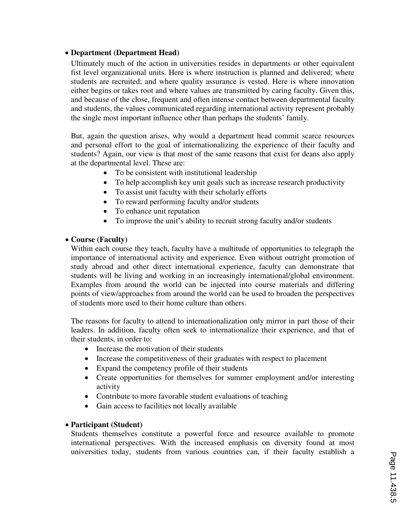## • **Department (Department Head)**

Ultimately much of the action in universities resides in departments or other equivalent fist level organizational units. Here is where instruction is planned and delivered; where students are recruited; and where quality assurance is vested. Here is where innovation either begins or takes root and where values are transmitted by caring faculty. Given this, and because of the close, frequent and often intense contact between departmental faculty and students, the values communicated regarding international activity represent probably the single most important influence other than perhaps the students' family.

But, again the question arises, why would a department head commit scarce resources and personal effort to the goal of internationalizing the experience of their faculty and students? Again, our view is that most of the same reasons that exist for deans also apply at the departmental level. These are:

- To be consistent with institutional leadership
- To help accomplish key unit goals such as increase research productivity
- To assist unit faculty with their scholarly efforts
- To reward performing faculty and/or students
- To enhance unit reputation
- To improve the unit's ability to recruit strong faculty and/or students

## • **Course (Faculty)**

Within each course they teach, faculty have a multitude of opportunities to telegraph the importance of international activity and experience. Even without outright promotion of study abroad and other direct international experience, faculty can demonstrate that students will be living and working in an increasingly international/global environment. Examples from around the world can be injected into course materials and differing points of view/approaches from around the world can be used to broaden the perspectives of students more used to their home culture than others.

The reasons for faculty to attend to internationalization only mirror in part those of their leaders. In addition, faculty often seek to internationalize their experience, and that of their students, in order to:

- Increase the motivation of their students
- Increase the competitiveness of their graduates with respect to placement
- Expand the competency profile of their students
- Create opportunities for themselves for summer employment and/or interesting activity
- Contribute to more favorable student evaluations of teaching
- Gain access to facilities not locally available

## • **Participant (Student)**

Students themselves constitute a powerful force and resource available to promote international perspectives. With the increased emphasis on diversity found at most universities today, students from various countries can, if their faculty establish a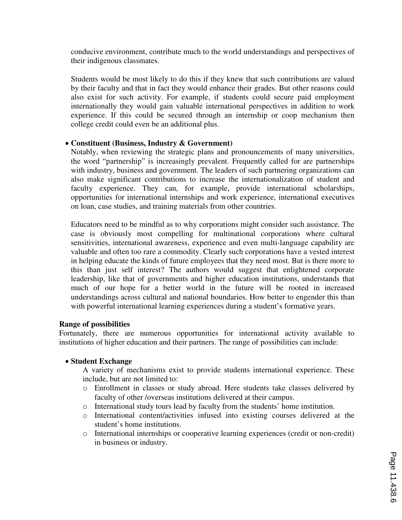conducive environment, contribute much to the world understandings and perspectives of their indigenous classmates.

Students would be most likely to do this if they knew that such contributions are valued by their faculty and that in fact they would enhance their grades. But other reasons could also exist for such activity. For example, if students could secure paid employment internationally they would gain valuable international perspectives in addition to work experience. If this could be secured through an internship or coop mechanism then college credit could even be an additional plus.

#### • **Constituent (Business, Industry & Government)**

Notably, when reviewing the strategic plans and pronouncements of many universities, the word "partnership" is increasingly prevalent. Frequently called for are partnerships with industry, business and government. The leaders of such partnering organizations can also make significant contributions to increase the internationalization of student and faculty experience. They can, for example, provide international scholarships, opportunities for international internships and work experience, international executives on loan, case studies, and training materials from other countries.

Educators need to be mindful as to why corporations might consider such assistance. The case is obviously most compelling for multinational corporations where cultural sensitivities, international awareness, experience and even multi-language capability are valuable and often too rare a commodity. Clearly such corporations have a vested interest in helping educate the kinds of future employees that they need most. But is there more to this than just self interest? The authors would suggest that enlightened corporate leadership, like that of governments and higher education institutions, understands that much of our hope for a better world in the future will be rooted in increased understandings across cultural and national boundaries. How better to engender this than with powerful international learning experiences during a student's formative years.

#### **Range of possibilities**

Fortunately, there are numerous opportunities for international activity available to institutions of higher education and their partners. The range of possibilities can include:

## • **Student Exchange**

A variety of mechanisms exist to provide students international experience. These include, but are not limited to:

- o Enrollment in classes or study abroad. Here students take classes delivered by faculty of other /overseas institutions delivered at their campus.
- o International study tours lead by faculty from the students' home institution.
- o International content/activities infused into existing courses delivered at the student's home institutions.
- o International internships or cooperative learning experiences (credit or non-credit) in business or industry.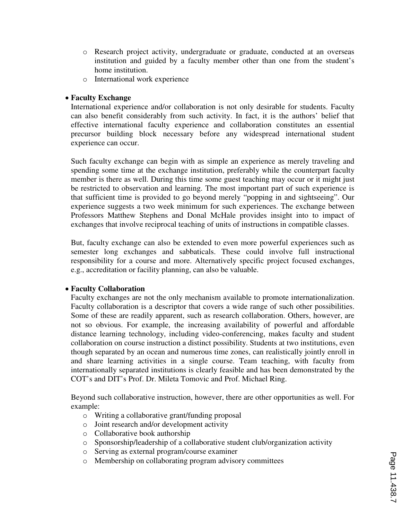- o Research project activity, undergraduate or graduate, conducted at an overseas institution and guided by a faculty member other than one from the student's home institution.
- o International work experience

### • **Faculty Exchange**

International experience and/or collaboration is not only desirable for students. Faculty can also benefit considerably from such activity. In fact, it is the authors' belief that effective international faculty experience and collaboration constitutes an essential precursor building block necessary before any widespread international student experience can occur.

Such faculty exchange can begin with as simple an experience as merely traveling and spending some time at the exchange institution, preferably while the counterpart faculty member is there as well. During this time some guest teaching may occur or it might just be restricted to observation and learning. The most important part of such experience is that sufficient time is provided to go beyond merely "popping in and sightseeing". Our experience suggests a two week minimum for such experiences. The exchange between Professors Matthew Stephens and Donal McHale provides insight into to impact of exchanges that involve reciprocal teaching of units of instructions in compatible classes.

But, faculty exchange can also be extended to even more powerful experiences such as semester long exchanges and sabbaticals. These could involve full instructional responsibility for a course and more. Alternatively specific project focused exchanges, e.g., accreditation or facility planning, can also be valuable.

#### • **Faculty Collaboration**

Faculty exchanges are not the only mechanism available to promote internationalization. Faculty collaboration is a descriptor that covers a wide range of such other possibilities. Some of these are readily apparent, such as research collaboration. Others, however, are not so obvious. For example, the increasing availability of powerful and affordable distance learning technology, including video-conferencing, makes faculty and student collaboration on course instruction a distinct possibility. Students at two institutions, even though separated by an ocean and numerous time zones, can realistically jointly enroll in and share learning activities in a single course. Team teaching, with faculty from internationally separated institutions is clearly feasible and has been demonstrated by the COT's and DIT's Prof. Dr. Mileta Tomovic and Prof. Michael Ring.

Beyond such collaborative instruction, however, there are other opportunities as well. For example:

- o Writing a collaborative grant/funding proposal
- o Joint research and/or development activity
- o Collaborative book authorship
- o Sponsorship/leadership of a collaborative student club/organization activity
- o Serving as external program/course examiner
- o Membership on collaborating program advisory committees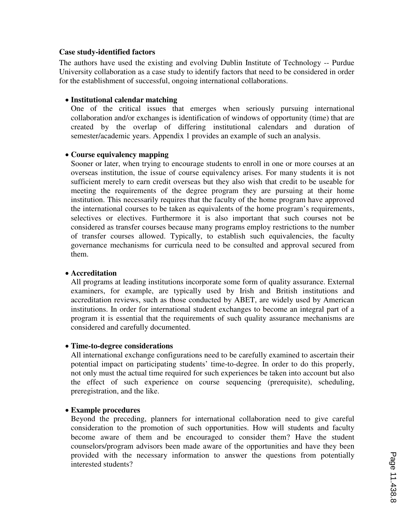#### **Case study-identified factors**

The authors have used the existing and evolving Dublin Institute of Technology -- Purdue University collaboration as a case study to identify factors that need to be considered in order for the establishment of successful, ongoing international collaborations.

#### • **Institutional calendar matching**

One of the critical issues that emerges when seriously pursuing international collaboration and/or exchanges is identification of windows of opportunity (time) that are created by the overlap of differing institutional calendars and duration of semester/academic years. Appendix 1 provides an example of such an analysis.

#### • **Course equivalency mapping**

Sooner or later, when trying to encourage students to enroll in one or more courses at an overseas institution, the issue of course equivalency arises. For many students it is not sufficient merely to earn credit overseas but they also wish that credit to be useable for meeting the requirements of the degree program they are pursuing at their home institution. This necessarily requires that the faculty of the home program have approved the international courses to be taken as equivalents of the home program's requirements, selectives or electives. Furthermore it is also important that such courses not be considered as transfer courses because many programs employ restrictions to the number of transfer courses allowed. Typically, to establish such equivalencies, the faculty governance mechanisms for curricula need to be consulted and approval secured from them.

#### • **Accreditation**

All programs at leading institutions incorporate some form of quality assurance. External examiners, for example, are typically used by Irish and British institutions and accreditation reviews, such as those conducted by ABET, are widely used by American institutions. In order for international student exchanges to become an integral part of a program it is essential that the requirements of such quality assurance mechanisms are considered and carefully documented.

#### • **Time-to-degree considerations**

All international exchange configurations need to be carefully examined to ascertain their potential impact on participating students' time-to-degree. In order to do this properly, not only must the actual time required for such experiences be taken into account but also the effect of such experience on course sequencing (prerequisite), scheduling, preregistration, and the like.

## • **Example procedures**

Beyond the preceding, planners for international collaboration need to give careful consideration to the promotion of such opportunities. How will students and faculty become aware of them and be encouraged to consider them? Have the student counselors/program advisors been made aware of the opportunities and have they been provided with the necessary information to answer the questions from potentially interested students?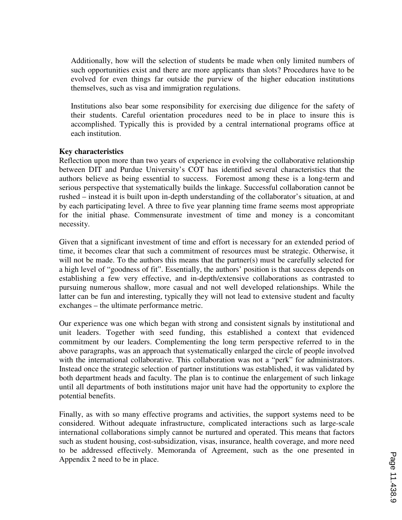Additionally, how will the selection of students be made when only limited numbers of such opportunities exist and there are more applicants than slots? Procedures have to be evolved for even things far outside the purview of the higher education institutions themselves, such as visa and immigration regulations.

Institutions also bear some responsibility for exercising due diligence for the safety of their students. Careful orientation procedures need to be in place to insure this is accomplished. Typically this is provided by a central international programs office at each institution.

#### **Key characteristics**

Reflection upon more than two years of experience in evolving the collaborative relationship between DIT and Purdue University's COT has identified several characteristics that the authors believe as being essential to success. Foremost among these is a long-term and serious perspective that systematically builds the linkage. Successful collaboration cannot be rushed – instead it is built upon in-depth understanding of the collaborator's situation, at and by each participating level. A three to five year planning time frame seems most appropriate for the initial phase. Commensurate investment of time and money is a concomitant necessity.

Given that a significant investment of time and effort is necessary for an extended period of time, it becomes clear that such a commitment of resources must be strategic. Otherwise, it will not be made. To the authors this means that the partner(s) must be carefully selected for a high level of "goodness of fit". Essentially, the authors' position is that success depends on establishing a few very effective, and in-depth/extensive collaborations as contrasted to pursuing numerous shallow, more casual and not well developed relationships. While the latter can be fun and interesting, typically they will not lead to extensive student and faculty exchanges – the ultimate performance metric.

Our experience was one which began with strong and consistent signals by institutional and unit leaders. Together with seed funding, this established a context that evidenced commitment by our leaders. Complementing the long term perspective referred to in the above paragraphs, was an approach that systematically enlarged the circle of people involved with the international collaborative. This collaboration was not a "perk" for administrators. Instead once the strategic selection of partner institutions was established, it was validated by both department heads and faculty. The plan is to continue the enlargement of such linkage until all departments of both institutions major unit have had the opportunity to explore the potential benefits.

Finally, as with so many effective programs and activities, the support systems need to be considered. Without adequate infrastructure, complicated interactions such as large-scale international collaborations simply cannot be nurtured and operated. This means that factors such as student housing, cost-subsidization, visas, insurance, health coverage, and more need to be addressed effectively. Memoranda of Agreement, such as the one presented in Appendix 2 need to be in place.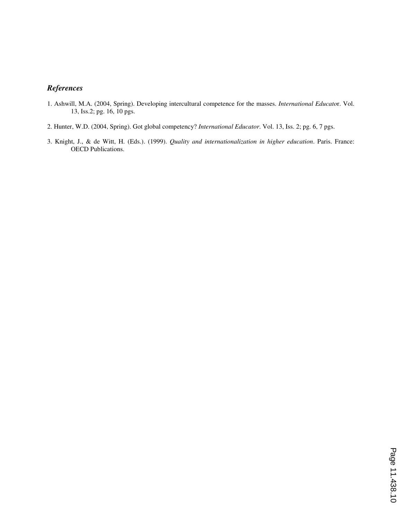## *References*

- 1. Ashwill, M.A. (2004, Spring). Developing intercultural competence for the masses. *International Educato*r. Vol. 13, Iss.2; pg. 16, 10 pgs.
- 2. Hunter, W.D. (2004, Spring). Got global competency? *International Educator*. Vol. 13, Iss. 2; pg. 6, 7 pgs.
- 3. Knight, J., & de Witt, H. (Eds.). (1999). *Quality and internationalization in higher education*. Paris. France: OECD Publications.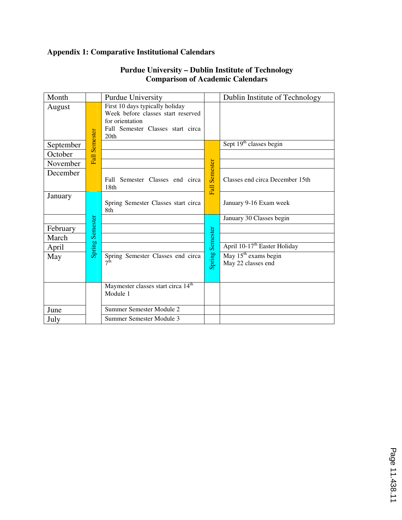# **Appendix 1: Comparative Institutional Calendars**

| Month     |                 | <b>Purdue University</b>                                              |                 | Dublin Institute of Technology           |
|-----------|-----------------|-----------------------------------------------------------------------|-----------------|------------------------------------------|
| August    |                 | First 10 days typically holiday<br>Week before classes start reserved |                 |                                          |
|           |                 | for orientation                                                       |                 |                                          |
|           |                 | Fall Semester Classes start circa                                     |                 |                                          |
|           |                 | 20th                                                                  |                 |                                          |
| September | <b>Semester</b> |                                                                       |                 | Sept 19 <sup>th</sup> classes begin      |
| October   | Fall            |                                                                       |                 |                                          |
| November  |                 |                                                                       | <b>Semester</b> |                                          |
| December  |                 |                                                                       |                 |                                          |
|           |                 | Fall Semester Classes end circa                                       |                 | Classes end circa December 15th          |
|           |                 | 18th                                                                  | Fall            |                                          |
| January   |                 | Spring Semester Classes start circa                                   |                 | January 9-16 Exam week                   |
|           |                 | 8th                                                                   |                 |                                          |
|           |                 |                                                                       |                 | January 30 Classes begin                 |
| February  | Semester        |                                                                       |                 |                                          |
| March     |                 |                                                                       |                 |                                          |
| April     | Spring          |                                                                       | Spring Semester | April 10-17 <sup>th</sup> Easter Holiday |
| May       |                 | Spring Semester Classes end circa                                     |                 | May 15 <sup>th</sup> exams begin         |
|           |                 | $7^{\rm th}$                                                          |                 | May 22 classes end                       |
|           |                 |                                                                       |                 |                                          |
|           |                 | Maymester classes start circa 14 <sup>th</sup>                        |                 |                                          |
|           |                 | Module 1                                                              |                 |                                          |
|           |                 |                                                                       |                 |                                          |
| June      |                 | Summer Semester Module 2                                              |                 |                                          |
| July      |                 | Summer Semester Module 3                                              |                 |                                          |

## **Purdue University – Dublin Institute of Technology Comparison of Academic Calendars**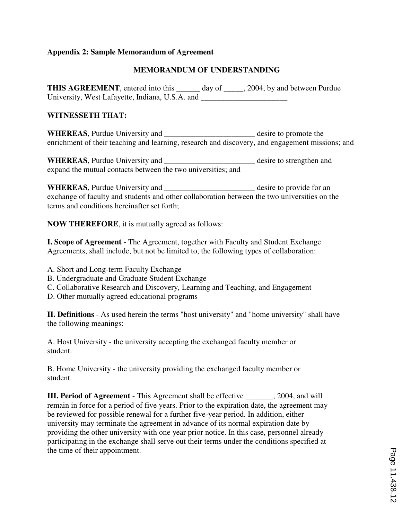### **Appendix 2: Sample Memorandum of Agreement**

## **MEMORANDUM OF UNDERSTANDING**

**THIS AGREEMENT**, entered into this \_\_\_\_\_\_ day of \_\_\_\_\_, 2004, by and between Purdue University, West Lafayette, Indiana, U.S.A. and

#### **WITNESSETH THAT:**

WHEREAS, Purdue University and \_\_\_\_\_\_\_\_\_\_\_\_\_\_\_\_\_\_\_\_\_\_\_\_\_\_ desire to promote the enrichment of their teaching and learning, research and discovery, and engagement missions; and

WHEREAS, Purdue University and \_\_\_\_\_\_\_\_\_\_\_\_\_\_\_\_\_\_\_\_\_\_\_\_\_ desire to strengthen and expand the mutual contacts between the two universities; and

**WHEREAS**, Purdue University and \_\_\_\_\_\_\_\_\_\_\_\_\_\_\_\_\_\_\_\_\_\_\_ desire to provide for an exchange of faculty and students and other collaboration between the two universities on the terms and conditions hereinafter set forth;

**NOW THEREFORE**, it is mutually agreed as follows:

**I. Scope of Agreement** - The Agreement, together with Faculty and Student Exchange Agreements, shall include, but not be limited to, the following types of collaboration:

- A. Short and Long-term Faculty Exchange
- B. Undergraduate and Graduate Student Exchange
- C. Collaborative Research and Discovery, Learning and Teaching, and Engagement
- D. Other mutually agreed educational programs

**II. Definitions** - As used herein the terms "host university" and "home university" shall have the following meanings:

A. Host University - the university accepting the exchanged faculty member or student.

B. Home University - the university providing the exchanged faculty member or student.

**III. Period of Agreement** - This Agreement shall be effective \_\_\_\_\_\_\_, 2004, and will remain in force for a period of five years. Prior to the expiration date, the agreement may be reviewed for possible renewal for a further five-year period. In addition, either university may terminate the agreement in advance of its normal expiration date by providing the other university with one year prior notice. In this case, personnel already participating in the exchange shall serve out their terms under the conditions specified at the time of their appointment.